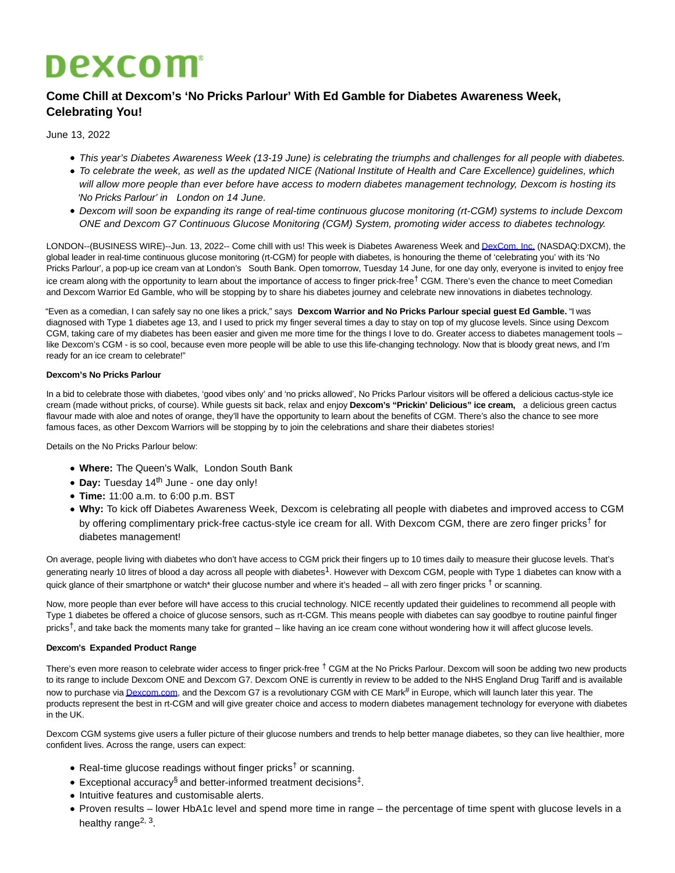# **Dexcom**

## **Come Chill at Dexcom's 'No Pricks Parlour' With Ed Gamble for Diabetes Awareness Week, Celebrating You!**

June 13, 2022

- This year's Diabetes Awareness Week (13-19 June) is celebrating the triumphs and challenges for all people with diabetes.
- To celebrate the week, as well as the updated NICE (National Institute of Health and Care Excellence) guidelines, which will allow more people than ever before have access to modern diabetes management technology, Dexcom is hosting its 'No Pricks Parlour' in London on 14 June.
- Dexcom will soon be expanding its range of real-time continuous glucose monitoring (rt-CGM) systems to include Dexcom ONE and Dexcom G7 Continuous Glucose Monitoring (CGM) System, promoting wider access to diabetes technology.

LONDON--(BUSINESS WIRE)--Jun. 13, 2022-- Come chill with us! This week is Diabetes Awareness Week an[d DexCom, Inc. \(](https://cts.businesswire.com/ct/CT?id=smartlink&url=http%3A%2F%2Fwww.dexcom.com%2F&esheet=52745992&newsitemid=20220613005072&lan=en-US&anchor=DexCom%2C+Inc.&index=1&md5=d6865dd073fb6f3f4dad924db5bd2f2f)NASDAQ:DXCM), the global leader in real-time continuous glucose monitoring (rt-CGM) for people with diabetes, is honouring the theme of 'celebrating you' with its 'No Pricks Parlour', a pop-up ice cream van at London's South Bank. Open tomorrow, Tuesday 14 June, for one day only, everyone is invited to enjoy free ice cream along with the opportunity to learn about the importance of access to finger prick-free<sup>†</sup> CGM. There's even the chance to meet Comedian and Dexcom Warrior Ed Gamble, who will be stopping by to share his diabetes journey and celebrate new innovations in diabetes technology.

"Even as a comedian, I can safely say no one likes a prick," says **Dexcom Warrior and No Pricks Parlour special guest Ed Gamble.** "I was diagnosed with Type 1 diabetes age 13, and I used to prick my finger several times a day to stay on top of my glucose levels. Since using Dexcom CGM, taking care of my diabetes has been easier and given me more time for the things I love to do. Greater access to diabetes management tools – like Dexcom's CGM - is so cool, because even more people will be able to use this life-changing technology. Now that is bloody great news, and I'm ready for an ice cream to celebrate!"

### **Dexcom's No Pricks Parlour**

In a bid to celebrate those with diabetes, 'good vibes only' and 'no pricks allowed', No Pricks Parlour visitors will be offered a delicious cactus-style ice cream (made without pricks, of course). While guests sit back, relax and enjoy **Dexcom's "Prickin' Delicious" ice cream,** a delicious green cactus flavour made with aloe and notes of orange, they'll have the opportunity to learn about the benefits of CGM. There's also the chance to see more famous faces, as other Dexcom Warriors will be stopping by to join the celebrations and share their diabetes stories!

Details on the No Pricks Parlour below:

- **Where:** The Queen's Walk, London South Bank
- Day: Tuesday 14<sup>th</sup> June one day only!
- **Time:** 11:00 a.m. to 6:00 p.m. BST
- **Why:** To kick off Diabetes Awareness Week, Dexcom is celebrating all people with diabetes and improved access to CGM by offering complimentary prick-free cactus-style ice cream for all. With Dexcom CGM, there are zero finger pricks<sup>†</sup> for diabetes management!

On average, people living with diabetes who don't have access to CGM prick their fingers up to 10 times daily to measure their glucose levels. That's generating nearly 10 litres of blood a day across all people with diabetes<sup>1</sup>. However with Dexcom CGM, people with Type 1 diabetes can know with a quick glance of their smartphone or watch<sup>\*</sup> their glucose number and where it's headed – all with zero finger pricks <sup>†</sup> or scanning.

Now, more people than ever before will have access to this crucial technology. NICE recently updated their guidelines to recommend all people with Type 1 diabetes be offered a choice of glucose sensors, such as rt-CGM. This means people with diabetes can say goodbye to routine painful finger pricks<sup>†</sup>, and take back the moments many take for granted – like having an ice cream cone without wondering how it will affect glucose levels.

### **Dexcom's Expanded Product Range**

There's even more reason to celebrate wider access to finger prick-free <sup>†</sup> CGM at the No Pricks Parlour. Dexcom will soon be adding two new products to its range to include Dexcom ONE and Dexcom G7. Dexcom ONE is currently in review to be added to the NHS England Drug Tariff and is available now to purchase vi[a Dexcom.com,](http://dexcom.com/) and the Dexcom G7 is a revolutionary CGM with CE Mark# in Europe, which will launch later this year. The products represent the best in rt-CGM and will give greater choice and access to modern diabetes management technology for everyone with diabetes in the UK.

Dexcom CGM systems give users a fuller picture of their glucose numbers and trends to help better manage diabetes, so they can live healthier, more confident lives. Across the range, users can expect:

- Real-time glucose readings without finger pricks<sup>†</sup> or scanning.
- Exceptional accuracy<sup>§</sup> and better-informed treatment decisions<sup>‡</sup>.
- Intuitive features and customisable alerts.
- Proven results lower HbA1c level and spend more time in range the percentage of time spent with glucose levels in a healthy range<sup>2, 3</sup>.